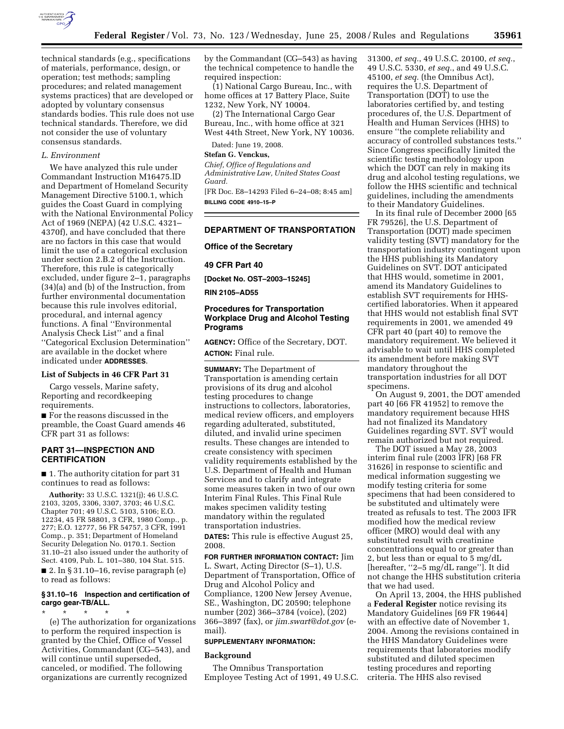

technical standards (e.g., specifications of materials, performance, design, or operation; test methods; sampling procedures; and related management systems practices) that are developed or adopted by voluntary consensus standards bodies. This rule does not use technical standards. Therefore, we did not consider the use of voluntary consensus standards.

### *L. Environment*

We have analyzed this rule under Commandant Instruction M16475.lD and Department of Homeland Security Management Directive 5100.1, which guides the Coast Guard in complying with the National Environmental Policy Act of 1969 (NEPA) (42 U.S.C. 4321– 4370f), and have concluded that there are no factors in this case that would limit the use of a categorical exclusion under section 2.B.2 of the Instruction. Therefore, this rule is categorically excluded, under figure 2–1, paragraphs (34)(a) and (b) of the Instruction, from further environmental documentation because this rule involves editorial, procedural, and internal agency functions. A final ''Environmental Analysis Check List'' and a final ''Categorical Exclusion Determination'' are available in the docket where indicated under **ADDRESSES**.

#### **List of Subjects in 46 CFR Part 31**

Cargo vessels, Marine safety, Reporting and recordkeeping requirements.

■ For the reasons discussed in the preamble, the Coast Guard amends 46 CFR part 31 as follows:

# **PART 31—INSPECTION AND CERTIFICATION**

■ 1. The authority citation for part 31 continues to read as follows:

**Authority:** 33 U.S.C. 1321(j); 46 U.S.C. 2103, 3205, 3306, 3307, 3703; 46 U.S.C. Chapter 701; 49 U.S.C. 5103, 5106; E.O. 12234, 45 FR 58801, 3 CFR, 1980 Comp., p. 277; E.O. 12777, 56 FR 54757, 3 CFR, 1991 Comp., p. 351; Department of Homeland Security Delegation No. 0170.1. Section 31.10–21 also issued under the authority of Sect. 4109, Pub. L. 101–380, 104 Stat. 515.  $\blacksquare$  2. In § 31.10–16, revise paragraph (e)

#### **§ 31.10–16 Inspection and certification of cargo gear-TB/ALL.**

to read as follows:

\* \* \* \* \* (e) The authorization for organizations to perform the required inspection is granted by the Chief, Office of Vessel Activities, Commandant (CG–543), and will continue until superseded, canceled, or modified. The following organizations are currently recognized

by the Commandant (CG–543) as having the technical competence to handle the required inspection:

(1) National Cargo Bureau, Inc., with home offices at 17 Battery Place, Suite 1232, New York, NY 10004.

(2) The International Cargo Gear Bureau, Inc., with home office at 321 West 44th Street, New York, NY 10036.

Dated: June 19, 2008.

**Stefan G. Venckus,** 

*Chief, Office of Regulations and Administrative Law, United States Coast Guard.*  [FR Doc. E8–14293 Filed 6–24–08; 8:45 am] **BILLING CODE 4910–15–P** 

### **DEPARTMENT OF TRANSPORTATION**

**Office of the Secretary** 

#### **49 CFR Part 40**

**[Docket No. OST–2003–15245]** 

**RIN 2105–AD55** 

# **Procedures for Transportation Workplace Drug and Alcohol Testing Programs**

**AGENCY:** Office of the Secretary, DOT. **ACTION:** Final rule.

**SUMMARY:** The Department of Transportation is amending certain provisions of its drug and alcohol testing procedures to change instructions to collectors, laboratories, medical review officers, and employers regarding adulterated, substituted, diluted, and invalid urine specimen results. These changes are intended to create consistency with specimen validity requirements established by the U.S. Department of Health and Human Services and to clarify and integrate some measures taken in two of our own Interim Final Rules. This Final Rule makes specimen validity testing mandatory within the regulated transportation industries.

**DATES:** This rule is effective August 25, 2008.

**FOR FURTHER INFORMATION CONTACT:** Jim L. Swart, Acting Director (S–1), U.S. Department of Transportation, Office of Drug and Alcohol Policy and Compliance, 1200 New Jersey Avenue, SE., Washington, DC 20590; telephone number (202) 366–3784 (voice), (202) 366–3897 (fax), or *jim.swart@dot.gov* (email).

### **SUPPLEMENTARY INFORMATION:**

#### **Background**

The Omnibus Transportation Employee Testing Act of 1991, 49 U.S.C. 31300, *et seq.*, 49 U.S.C. 20100, *et seq.*, 49 U.S.C. 5330, *et seq.*, and 49 U.S.C. 45100, *et seq.* (the Omnibus Act), requires the U.S. Department of Transportation (DOT) to use the laboratories certified by, and testing procedures of, the U.S. Department of Health and Human Services (HHS) to ensure ''the complete reliability and accuracy of controlled substances tests.'' Since Congress specifically limited the scientific testing methodology upon which the DOT can rely in making its drug and alcohol testing regulations, we follow the HHS scientific and technical guidelines, including the amendments to their Mandatory Guidelines.

In its final rule of December 2000 [65 FR 79526], the U.S. Department of Transportation (DOT) made specimen validity testing (SVT) mandatory for the transportation industry contingent upon the HHS publishing its Mandatory Guidelines on SVT. DOT anticipated that HHS would, sometime in 2001, amend its Mandatory Guidelines to establish SVT requirements for HHScertified laboratories. When it appeared that HHS would not establish final SVT requirements in 2001, we amended 49 CFR part 40 (part 40) to remove the mandatory requirement. We believed it advisable to wait until HHS completed its amendment before making SVT mandatory throughout the transportation industries for all DOT specimens.

On August 9, 2001, the DOT amended part 40 [66 FR 41952] to remove the mandatory requirement because HHS had not finalized its Mandatory Guidelines regarding SVT. SVT would remain authorized but not required.

The DOT issued a May 28, 2003 interim final rule (2003 IFR) [68 FR 31626] in response to scientific and medical information suggesting we modify testing criteria for some specimens that had been considered to be substituted and ultimately were treated as refusals to test. The 2003 IFR modified how the medical review officer (MRO) would deal with any substituted result with creatinine concentrations equal to or greater than 2, but less than or equal to 5 mg/dL [hereafter, ''2–5 mg/dL range'']. It did not change the HHS substitution criteria that we had used.

On April 13, 2004, the HHS published a **Federal Register** notice revising its Mandatory Guidelines [69 FR 19644] with an effective date of November 1, 2004. Among the revisions contained in the HHS Mandatory Guidelines were requirements that laboratories modify substituted and diluted specimen testing procedures and reporting criteria. The HHS also revised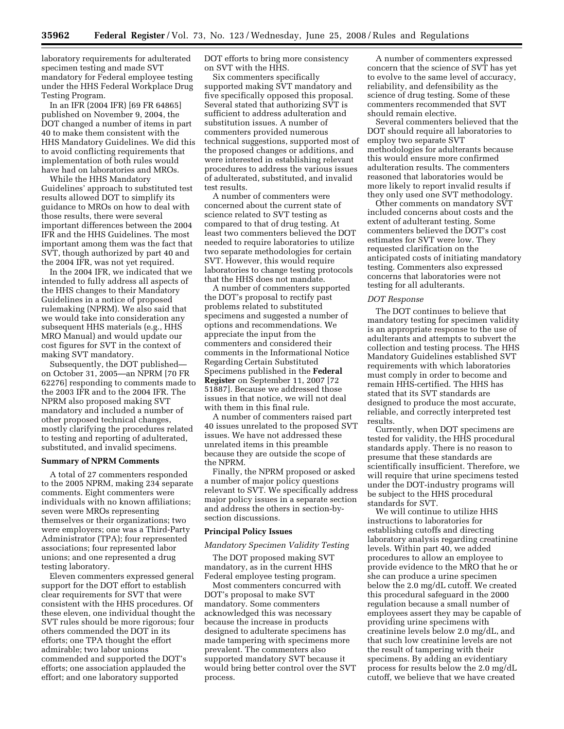laboratory requirements for adulterated specimen testing and made SVT mandatory for Federal employee testing under the HHS Federal Workplace Drug Testing Program.

In an IFR (2004 IFR) [69 FR 64865] published on November 9, 2004, the DOT changed a number of items in part 40 to make them consistent with the HHS Mandatory Guidelines. We did this to avoid conflicting requirements that implementation of both rules would have had on laboratories and MROs.

While the HHS Mandatory Guidelines' approach to substituted test results allowed DOT to simplify its guidance to MROs on how to deal with those results, there were several important differences between the 2004 IFR and the HHS Guidelines. The most important among them was the fact that SVT, though authorized by part 40 and the 2004 IFR, was not yet required.

In the 2004 IFR, we indicated that we intended to fully address all aspects of the HHS changes to their Mandatory Guidelines in a notice of proposed rulemaking (NPRM). We also said that we would take into consideration any subsequent HHS materials (e.g., HHS MRO Manual) and would update our cost figures for SVT in the context of making SVT mandatory.

Subsequently, the DOT published on October 31, 2005—an NPRM [70 FR 62276] responding to comments made to the 2003 IFR and to the 2004 IFR. The NPRM also proposed making SVT mandatory and included a number of other proposed technical changes, mostly clarifying the procedures related to testing and reporting of adulterated, substituted, and invalid specimens.

#### **Summary of NPRM Comments**

A total of 27 commenters responded to the 2005 NPRM, making 234 separate comments. Eight commenters were individuals with no known affiliations; seven were MROs representing themselves or their organizations; two were employers; one was a Third-Party Administrator (TPA); four represented associations; four represented labor unions; and one represented a drug testing laboratory.

Eleven commenters expressed general support for the DOT effort to establish clear requirements for SVT that were consistent with the HHS procedures. Of these eleven, one individual thought the SVT rules should be more rigorous; four others commended the DOT in its efforts; one TPA thought the effort admirable; two labor unions commended and supported the DOT's efforts; one association applauded the effort; and one laboratory supported

DOT efforts to bring more consistency on SVT with the HHS.

Six commenters specifically supported making SVT mandatory and five specifically opposed this proposal. Several stated that authorizing SVT is sufficient to address adulteration and substitution issues. A number of commenters provided numerous technical suggestions, supported most of the proposed changes or additions, and were interested in establishing relevant procedures to address the various issues of adulterated, substituted, and invalid test results.

A number of commenters were concerned about the current state of science related to SVT testing as compared to that of drug testing. At least two commenters believed the DOT needed to require laboratories to utilize two separate methodologies for certain SVT. However, this would require laboratories to change testing protocols that the HHS does not mandate.

A number of commenters supported the DOT's proposal to rectify past problems related to substituted specimens and suggested a number of options and recommendations. We appreciate the input from the commenters and considered their comments in the Informational Notice Regarding Certain Substituted Specimens published in the **Federal Register** on September 11, 2007 [72 51887]. Because we addressed those issues in that notice, we will not deal with them in this final rule.

A number of commenters raised part 40 issues unrelated to the proposed SVT issues. We have not addressed these unrelated items in this preamble because they are outside the scope of the NPRM.

Finally, the NPRM proposed or asked a number of major policy questions relevant to SVT. We specifically address major policy issues in a separate section and address the others in section-bysection discussions.

### **Principal Policy Issues**

### *Mandatory Specimen Validity Testing*

The DOT proposed making SVT mandatory, as in the current HHS

Federal employee testing program. Most commenters concurred with DOT's proposal to make SVT mandatory. Some commenters acknowledged this was necessary because the increase in products designed to adulterate specimens has made tampering with specimens more prevalent. The commenters also supported mandatory SVT because it would bring better control over the SVT process.

A number of commenters expressed concern that the science of SVT has yet to evolve to the same level of accuracy, reliability, and defensibility as the science of drug testing. Some of these commenters recommended that SVT should remain elective.

Several commenters believed that the DOT should require all laboratories to employ two separate SVT methodologies for adulterants because this would ensure more confirmed adulteration results. The commenters reasoned that laboratories would be more likely to report invalid results if they only used one SVT methodology.

Other comments on mandatory SVT included concerns about costs and the extent of adulterant testing. Some commenters believed the DOT's cost estimates for SVT were low. They requested clarification on the anticipated costs of initiating mandatory testing. Commenters also expressed concerns that laboratories were not testing for all adulterants.

#### *DOT Response*

The DOT continues to believe that mandatory testing for specimen validity is an appropriate response to the use of adulterants and attempts to subvert the collection and testing process. The HHS Mandatory Guidelines established SVT requirements with which laboratories must comply in order to become and remain HHS-certified. The HHS has stated that its SVT standards are designed to produce the most accurate, reliable, and correctly interpreted test results.

Currently, when DOT specimens are tested for validity, the HHS procedural standards apply. There is no reason to presume that these standards are scientifically insufficient. Therefore, we will require that urine specimens tested under the DOT-industry programs will be subject to the HHS procedural standards for SVT.

We will continue to utilize HHS instructions to laboratories for establishing cutoffs and directing laboratory analysis regarding creatinine levels. Within part 40, we added procedures to allow an employee to provide evidence to the MRO that he or she can produce a urine specimen below the 2.0 mg/dL cutoff. We created this procedural safeguard in the 2000 regulation because a small number of employees assert they may be capable of providing urine specimens with creatinine levels below 2.0 mg/dL, and that such low creatinine levels are not the result of tampering with their specimens. By adding an evidentiary process for results below the 2.0 mg/dL cutoff, we believe that we have created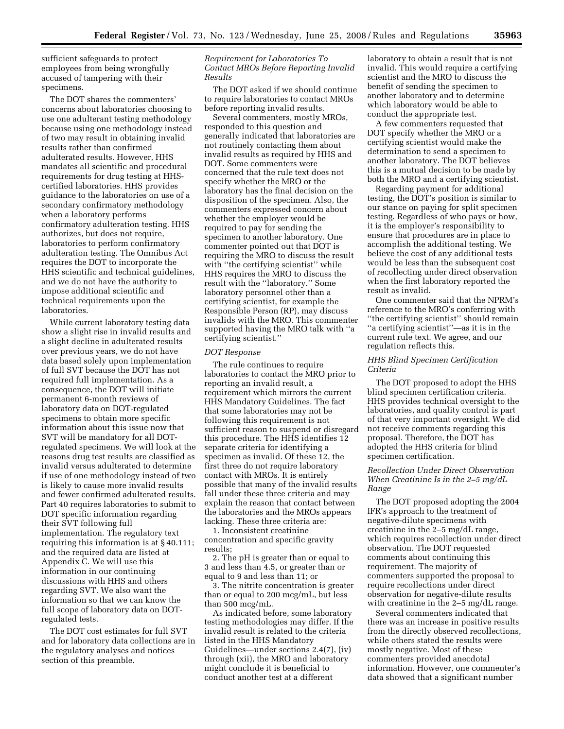sufficient safeguards to protect employees from being wrongfully accused of tampering with their specimens.

The DOT shares the commenters' concerns about laboratories choosing to use one adulterant testing methodology because using one methodology instead of two may result in obtaining invalid results rather than confirmed adulterated results. However, HHS mandates all scientific and procedural requirements for drug testing at HHScertified laboratories. HHS provides guidance to the laboratories on use of a secondary confirmatory methodology when a laboratory performs confirmatory adulteration testing. HHS authorizes, but does not require, laboratories to perform confirmatory adulteration testing. The Omnibus Act requires the DOT to incorporate the HHS scientific and technical guidelines, and we do not have the authority to impose additional scientific and technical requirements upon the laboratories.

While current laboratory testing data show a slight rise in invalid results and a slight decline in adulterated results over previous years, we do not have data based solely upon implementation of full SVT because the DOT has not required full implementation. As a consequence, the DOT will initiate permanent 6-month reviews of laboratory data on DOT-regulated specimens to obtain more specific information about this issue now that SVT will be mandatory for all DOTregulated specimens. We will look at the reasons drug test results are classified as invalid versus adulterated to determine if use of one methodology instead of two is likely to cause more invalid results and fewer confirmed adulterated results. Part 40 requires laboratories to submit to DOT specific information regarding their SVT following full implementation. The regulatory text requiring this information is at § 40.111; and the required data are listed at Appendix C. We will use this information in our continuing discussions with HHS and others regarding SVT. We also want the information so that we can know the full scope of laboratory data on DOTregulated tests.

The DOT cost estimates for full SVT and for laboratory data collections are in the regulatory analyses and notices section of this preamble.

# *Requirement for Laboratories To Contact MROs Before Reporting Invalid Results*

The DOT asked if we should continue to require laboratories to contact MROs before reporting invalid results.

Several commenters, mostly MROs, responded to this question and generally indicated that laboratories are not routinely contacting them about invalid results as required by HHS and DOT. Some commenters were concerned that the rule text does not specify whether the MRO or the laboratory has the final decision on the disposition of the specimen. Also, the commenters expressed concern about whether the employer would be required to pay for sending the specimen to another laboratory. One commenter pointed out that DOT is requiring the MRO to discuss the result with "the certifying scientist" while HHS requires the MRO to discuss the result with the ''laboratory.'' Some laboratory personnel other than a certifying scientist, for example the Responsible Person (RP), may discuss invalids with the MRO. This commenter supported having the MRO talk with ''a certifying scientist.''

#### *DOT Response*

The rule continues to require laboratories to contact the MRO prior to reporting an invalid result, a requirement which mirrors the current HHS Mandatory Guidelines. The fact that some laboratories may not be following this requirement is not sufficient reason to suspend or disregard this procedure. The HHS identifies 12 separate criteria for identifying a specimen as invalid. Of these 12, the first three do not require laboratory contact with MROs. It is entirely possible that many of the invalid results fall under these three criteria and may explain the reason that contact between the laboratories and the MROs appears lacking. These three criteria are:

1. Inconsistent creatinine concentration and specific gravity results;

2. The pH is greater than or equal to 3 and less than 4.5, or greater than or equal to 9 and less than 11; or

3. The nitrite concentration is greater than or equal to 200 mcg/mL, but less than 500 mcg/mL.

As indicated before, some laboratory testing methodologies may differ. If the invalid result is related to the criteria listed in the HHS Mandatory Guidelines—under sections 2.4(7), (iv) through (xii), the MRO and laboratory might conclude it is beneficial to conduct another test at a different

laboratory to obtain a result that is not invalid. This would require a certifying scientist and the MRO to discuss the benefit of sending the specimen to another laboratory and to determine which laboratory would be able to conduct the appropriate test.

A few commenters requested that DOT specify whether the MRO or a certifying scientist would make the determination to send a specimen to another laboratory. The DOT believes this is a mutual decision to be made by both the MRO and a certifying scientist.

Regarding payment for additional testing, the DOT's position is similar to our stance on paying for split specimen testing. Regardless of who pays or how, it is the employer's responsibility to ensure that procedures are in place to accomplish the additional testing. We believe the cost of any additional tests would be less than the subsequent cost of recollecting under direct observation when the first laboratory reported the result as invalid.

One commenter said that the NPRM's reference to the MRO's conferring with ''the certifying scientist'' should remain ''a certifying scientist''—as it is in the current rule text. We agree, and our regulation reflects this.

# *HHS Blind Specimen Certification Criteria*

The DOT proposed to adopt the HHS blind specimen certification criteria. HHS provides technical oversight to the laboratories, and quality control is part of that very important oversight. We did not receive comments regarding this proposal. Therefore, the DOT has adopted the HHS criteria for blind specimen certification.

# *Recollection Under Direct Observation When Creatinine Is in the 2–5 mg/dL Range*

The DOT proposed adopting the 2004 IFR's approach to the treatment of negative-dilute specimens with creatinine in the 2–5 mg/dL range, which requires recollection under direct observation. The DOT requested comments about continuing this requirement. The majority of commenters supported the proposal to require recollections under direct observation for negative-dilute results with creatinine in the 2–5 mg/dL range.

Several commenters indicated that there was an increase in positive results from the directly observed recollections, while others stated the results were mostly negative. Most of these commenters provided anecdotal information. However, one commenter's data showed that a significant number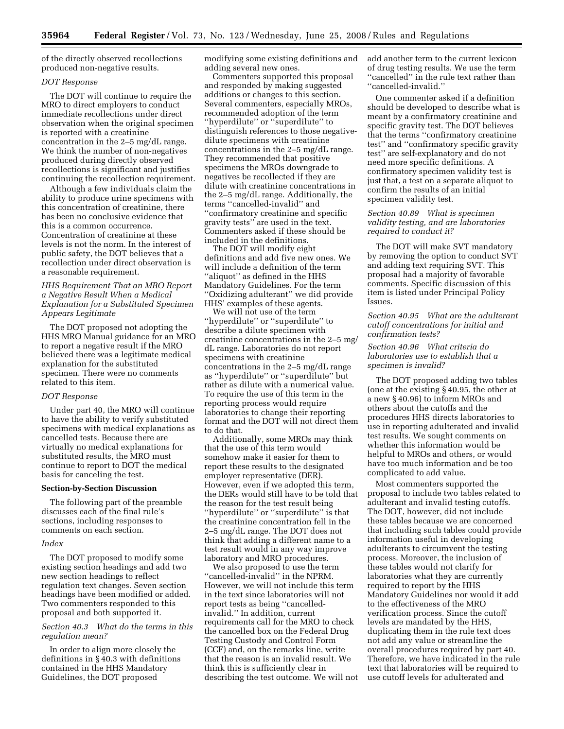of the directly observed recollections produced non-negative results.

# *DOT Response*

The DOT will continue to require the MRO to direct employers to conduct immediate recollections under direct observation when the original specimen is reported with a creatinine concentration in the 2–5 mg/dL range. We think the number of non-negatives produced during directly observed recollections is significant and justifies continuing the recollection requirement.

Although a few individuals claim the ability to produce urine specimens with this concentration of creatinine, there has been no conclusive evidence that this is a common occurrence. Concentration of creatinine at these levels is not the norm. In the interest of public safety, the DOT believes that a recollection under direct observation is a reasonable requirement.

### *HHS Requirement That an MRO Report a Negative Result When a Medical Explanation for a Substituted Specimen Appears Legitimate*

The DOT proposed not adopting the HHS MRO Manual guidance for an MRO to report a negative result if the MRO believed there was a legitimate medical explanation for the substituted specimen. There were no comments related to this item.

# *DOT Response*

Under part 40, the MRO will continue to have the ability to verify substituted specimens with medical explanations as cancelled tests. Because there are virtually no medical explanations for substituted results, the MRO must continue to report to DOT the medical basis for canceling the test.

#### **Section-by-Section Discussion**

The following part of the preamble discusses each of the final rule's sections, including responses to comments on each section.

#### *Index*

The DOT proposed to modify some existing section headings and add two new section headings to reflect regulation text changes. Seven section headings have been modified or added. Two commenters responded to this proposal and both supported it.

# *Section 40.3 What do the terms in this regulation mean?*

In order to align more closely the definitions in § 40.3 with definitions contained in the HHS Mandatory Guidelines, the DOT proposed

modifying some existing definitions and adding several new ones.

Commenters supported this proposal and responded by making suggested additions or changes to this section. Several commenters, especially MROs, recommended adoption of the term ''hyperdilute'' or ''superdilute'' to distinguish references to those negativedilute specimens with creatinine concentrations in the 2–5 mg/dL range. They recommended that positive specimens the MROs downgrade to negatives be recollected if they are dilute with creatinine concentrations in the 2–5 mg/dL range. Additionally, the terms ''cancelled-invalid'' and ''confirmatory creatinine and specific gravity tests'' are used in the text. Commenters asked if these should be included in the definitions.

The DOT will modify eight definitions and add five new ones. We will include a definition of the term ''aliquot'' as defined in the HHS Mandatory Guidelines. For the term ''Oxidizing adulterant'' we did provide HHS' examples of these agents.

We will not use of the term ''hyperdilute'' or ''superdilute'' to describe a dilute specimen with creatinine concentrations in the 2–5 mg/ dL range. Laboratories do not report specimens with creatinine concentrations in the 2–5 mg/dL range as ''hyperdilute'' or ''superdilute'' but rather as dilute with a numerical value. To require the use of this term in the reporting process would require laboratories to change their reporting format and the DOT will not direct them to do that.

Additionally, some MROs may think that the use of this term would somehow make it easier for them to report these results to the designated employer representative (DER). However, even if we adopted this term, the DERs would still have to be told that the reason for the test result being ''hyperdilute'' or ''superdilute'' is that the creatinine concentration fell in the 2–5 mg/dL range. The DOT does not think that adding a different name to a test result would in any way improve laboratory and MRO procedures.

We also proposed to use the term ''cancelled-invalid'' in the NPRM. However, we will not include this term in the text since laboratories will not report tests as being ''cancelledinvalid.'' In addition, current requirements call for the MRO to check the cancelled box on the Federal Drug Testing Custody and Control Form (CCF) and, on the remarks line, write that the reason is an invalid result. We think this is sufficiently clear in describing the test outcome. We will not add another term to the current lexicon of drug testing results. We use the term ''cancelled'' in the rule text rather than ''cancelled-invalid.''

One commenter asked if a definition should be developed to describe what is meant by a confirmatory creatinine and specific gravity test. The DOT believes that the terms ''confirmatory creatinine test'' and ''confirmatory specific gravity test'' are self-explanatory and do not need more specific definitions. A confirmatory specimen validity test is just that, a test on a separate aliquot to confirm the results of an initial specimen validity test.

### *Section 40.89 What is specimen validity testing, and are laboratories required to conduct it?*

The DOT will make SVT mandatory by removing the option to conduct SVT and adding text requiring SVT. This proposal had a majority of favorable comments. Specific discussion of this item is listed under Principal Policy Issues.

# *Section 40.95 What are the adulterant cutoff concentrations for initial and confirmation tests?*

### *Section 40.96 What criteria do laboratories use to establish that a specimen is invalid?*

The DOT proposed adding two tables (one at the existing § 40.95, the other at a new § 40.96) to inform MROs and others about the cutoffs and the procedures HHS directs laboratories to use in reporting adulterated and invalid test results. We sought comments on whether this information would be helpful to MROs and others, or would have too much information and be too complicated to add value.

Most commenters supported the proposal to include two tables related to adulterant and invalid testing cutoffs. The DOT, however, did not include these tables because we are concerned that including such tables could provide information useful in developing adulterants to circumvent the testing process. Moreover, the inclusion of these tables would not clarify for laboratories what they are currently required to report by the HHS Mandatory Guidelines nor would it add to the effectiveness of the MRO verification process. Since the cutoff levels are mandated by the HHS, duplicating them in the rule text does not add any value or streamline the overall procedures required by part 40. Therefore, we have indicated in the rule text that laboratories will be required to use cutoff levels for adulterated and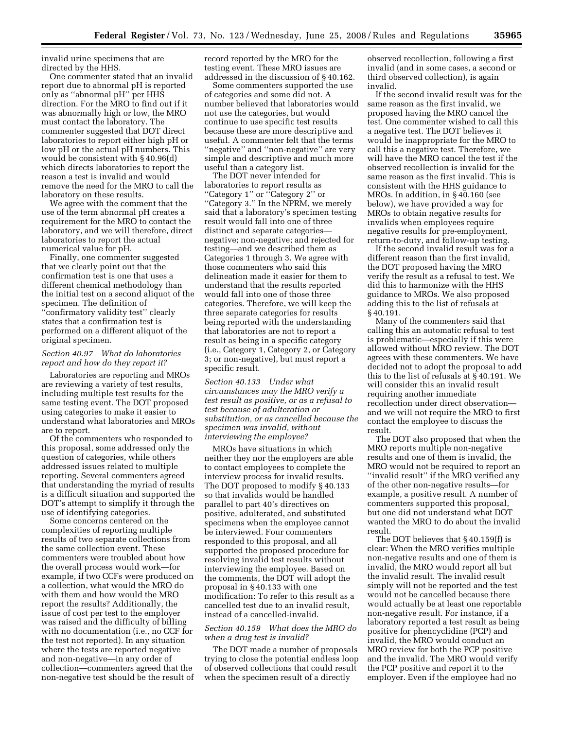invalid urine specimens that are directed by the HHS.

One commenter stated that an invalid report due to abnormal pH is reported only as ''abnormal pH'' per HHS direction. For the MRO to find out if it was abnormally high or low, the MRO must contact the laboratory. The commenter suggested that DOT direct laboratories to report either high pH or low pH or the actual pH numbers. This would be consistent with § 40.96(d) which directs laboratories to report the reason a test is invalid and would remove the need for the MRO to call the laboratory on these results.

We agree with the comment that the use of the term abnormal pH creates a requirement for the MRO to contact the laboratory, and we will therefore, direct laboratories to report the actual numerical value for pH.

Finally, one commenter suggested that we clearly point out that the confirmation test is one that uses a different chemical methodology than the initial test on a second aliquot of the specimen. The definition of ''confirmatory validity test'' clearly states that a confirmation test is performed on a different aliquot of the original specimen.

### *Section 40.97 What do laboratories report and how do they report it?*

Laboratories are reporting and MROs are reviewing a variety of test results, including multiple test results for the same testing event. The DOT proposed using categories to make it easier to understand what laboratories and MROs are to report.

Of the commenters who responded to this proposal, some addressed only the question of categories, while others addressed issues related to multiple reporting. Several commenters agreed that understanding the myriad of results is a difficult situation and supported the DOT's attempt to simplify it through the use of identifying categories.

Some concerns centered on the complexities of reporting multiple results of two separate collections from the same collection event. These commenters were troubled about how the overall process would work—for example, if two CCFs were produced on a collection, what would the MRO do with them and how would the MRO report the results? Additionally, the issue of cost per test to the employer was raised and the difficulty of billing with no documentation (i.e., no CCF for the test not reported). In any situation where the tests are reported negative and non-negative—in any order of collection—commenters agreed that the non-negative test should be the result of record reported by the MRO for the testing event. These MRO issues are addressed in the discussion of § 40.162.

Some commenters supported the use of categories and some did not. A number believed that laboratories would not use the categories, but would continue to use specific test results because these are more descriptive and useful. A commenter felt that the terms ''negative'' and ''non-negative'' are very simple and descriptive and much more useful than a category list.

The DOT never intended for laboratories to report results as ''Category 1'' or ''Category 2'' or ''Category 3.'' In the NPRM, we merely said that a laboratory's specimen testing result would fall into one of three distinct and separate categories negative; non-negative; and rejected for testing—and we described them as Categories 1 through 3. We agree with those commenters who said this delineation made it easier for them to understand that the results reported would fall into one of those three categories. Therefore, we will keep the three separate categories for results being reported with the understanding that laboratories are not to report a result as being in a specific category (i.e., Category 1, Category 2, or Category 3; or non-negative), but must report a specific result.

*Section 40.133 Under what circumstances may the MRO verify a test result as positive, or as a refusal to test because of adulteration or substitution, or as cancelled because the specimen was invalid, without interviewing the employee?* 

MROs have situations in which neither they nor the employers are able to contact employees to complete the interview process for invalid results. The DOT proposed to modify § 40.133 so that invalids would be handled parallel to part 40's directives on positive, adulterated, and substituted specimens when the employee cannot be interviewed. Four commenters responded to this proposal, and all supported the proposed procedure for resolving invalid test results without interviewing the employee. Based on the comments, the DOT will adopt the proposal in § 40.133 with one modification: To refer to this result as a cancelled test due to an invalid result, instead of a cancelled-invalid.

## *Section 40.159 What does the MRO do when a drug test is invalid?*

The DOT made a number of proposals trying to close the potential endless loop of observed collections that could result when the specimen result of a directly

observed recollection, following a first invalid (and in some cases, a second or third observed collection), is again invalid.

If the second invalid result was for the same reason as the first invalid, we proposed having the MRO cancel the test. One commenter wished to call this a negative test. The DOT believes it would be inappropriate for the MRO to call this a negative test. Therefore, we will have the MRO cancel the test if the observed recollection is invalid for the same reason as the first invalid. This is consistent with the HHS guidance to MROs. In addition, in § 40.160 (see below), we have provided a way for MROs to obtain negative results for invalids when employees require negative results for pre-employment, return-to-duty, and follow-up testing.

If the second invalid result was for a different reason than the first invalid, the DOT proposed having the MRO verify the result as a refusal to test. We did this to harmonize with the HHS guidance to MROs. We also proposed adding this to the list of refusals at § 40.191.

Many of the commenters said that calling this an automatic refusal to test is problematic—especially if this were allowed without MRO review. The DOT agrees with these commenters. We have decided not to adopt the proposal to add this to the list of refusals at § 40.191. We will consider this an invalid result requiring another immediate recollection under direct observation and we will not require the MRO to first contact the employee to discuss the result.

The DOT also proposed that when the MRO reports multiple non-negative results and one of them is invalid, the MRO would not be required to report an ''invalid result'' if the MRO verified any of the other non-negative results—for example, a positive result. A number of commenters supported this proposal, but one did not understand what DOT wanted the MRO to do about the invalid result.

The DOT believes that § 40.159(f) is clear: When the MRO verifies multiple non-negative results and one of them is invalid, the MRO would report all but the invalid result. The invalid result simply will not be reported and the test would not be cancelled because there would actually be at least one reportable non-negative result. For instance, if a laboratory reported a test result as being positive for phencyclidine (PCP) and invalid, the MRO would conduct an MRO review for both the PCP positive and the invalid. The MRO would verify the PCP positive and report it to the employer. Even if the employee had no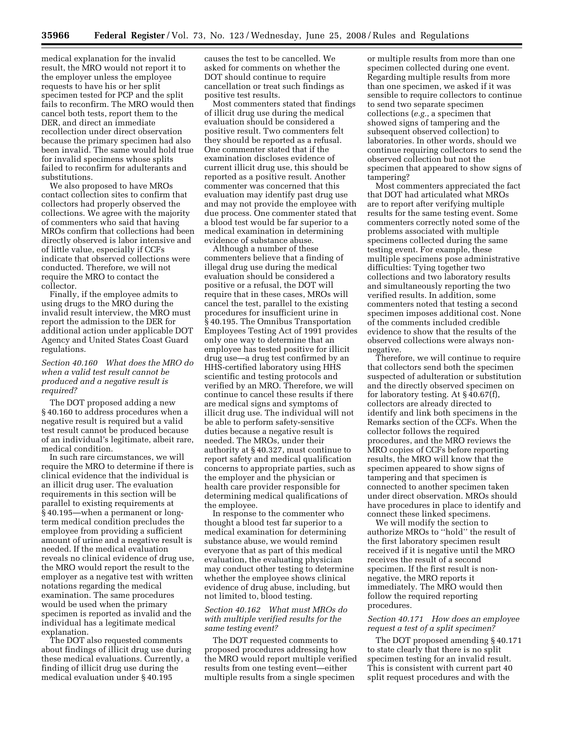medical explanation for the invalid result, the MRO would not report it to the employer unless the employee requests to have his or her split specimen tested for PCP and the split fails to reconfirm. The MRO would then cancel both tests, report them to the DER, and direct an immediate recollection under direct observation because the primary specimen had also been invalid. The same would hold true for invalid specimens whose splits failed to reconfirm for adulterants and substitutions.

We also proposed to have MROs contact collection sites to confirm that collectors had properly observed the collections. We agree with the majority of commenters who said that having MROs confirm that collections had been directly observed is labor intensive and of little value, especially if CCFs indicate that observed collections were conducted. Therefore, we will not require the MRO to contact the collector.

Finally, if the employee admits to using drugs to the MRO during the invalid result interview, the MRO must report the admission to the DER for additional action under applicable DOT Agency and United States Coast Guard regulations.

# *Section 40.160 What does the MRO do when a valid test result cannot be produced and a negative result is required?*

The DOT proposed adding a new § 40.160 to address procedures when a negative result is required but a valid test result cannot be produced because of an individual's legitimate, albeit rare, medical condition.

In such rare circumstances, we will require the MRO to determine if there is clinical evidence that the individual is an illicit drug user. The evaluation requirements in this section will be parallel to existing requirements at § 40.195—when a permanent or longterm medical condition precludes the employee from providing a sufficient amount of urine and a negative result is needed. If the medical evaluation reveals no clinical evidence of drug use, the MRO would report the result to the employer as a negative test with written notations regarding the medical examination. The same procedures would be used when the primary specimen is reported as invalid and the individual has a legitimate medical explanation.

The DOT also requested comments about findings of illicit drug use during these medical evaluations. Currently, a finding of illicit drug use during the medical evaluation under § 40.195

causes the test to be cancelled. We asked for comments on whether the DOT should continue to require cancellation or treat such findings as positive test results.

Most commenters stated that findings of illicit drug use during the medical evaluation should be considered a positive result. Two commenters felt they should be reported as a refusal. One commenter stated that if the examination discloses evidence of current illicit drug use, this should be reported as a positive result. Another commenter was concerned that this evaluation may identify past drug use and may not provide the employee with due process. One commenter stated that a blood test would be far superior to a medical examination in determining evidence of substance abuse.

Although a number of these commenters believe that a finding of illegal drug use during the medical evaluation should be considered a positive or a refusal, the DOT will require that in these cases, MROs will cancel the test, parallel to the existing procedures for insufficient urine in § 40.195. The Omnibus Transportation Employees Testing Act of 1991 provides only one way to determine that an employee has tested positive for illicit drug use—a drug test confirmed by an HHS-certified laboratory using HHS scientific and testing protocols and verified by an MRO. Therefore, we will continue to cancel these results if there are medical signs and symptoms of illicit drug use. The individual will not be able to perform safety-sensitive duties because a negative result is needed. The MROs, under their authority at § 40.327, must continue to report safety and medical qualification concerns to appropriate parties, such as the employer and the physician or health care provider responsible for determining medical qualifications of the employee.

In response to the commenter who thought a blood test far superior to a medical examination for determining substance abuse, we would remind everyone that as part of this medical evaluation, the evaluating physician may conduct other testing to determine whether the employee shows clinical evidence of drug abuse, including, but not limited to, blood testing.

### *Section 40.162 What must MROs do with multiple verified results for the same testing event?*

The DOT requested comments to proposed procedures addressing how the MRO would report multiple verified results from one testing event—either multiple results from a single specimen

or multiple results from more than one specimen collected during one event. Regarding multiple results from more than one specimen, we asked if it was sensible to require collectors to continue to send two separate specimen collections (*e.g.*, a specimen that showed signs of tampering and the subsequent observed collection) to laboratories. In other words, should we continue requiring collectors to send the observed collection but not the specimen that appeared to show signs of tampering?

Most commenters appreciated the fact that DOT had articulated what MROs are to report after verifying multiple results for the same testing event. Some commenters correctly noted some of the problems associated with multiple specimens collected during the same testing event. For example, these multiple specimens pose administrative difficulties: Tying together two collections and two laboratory results and simultaneously reporting the two verified results. In addition, some commenters noted that testing a second specimen imposes additional cost. None of the comments included credible evidence to show that the results of the observed collections were always nonnegative.

Therefore, we will continue to require that collectors send both the specimen suspected of adulteration or substitution and the directly observed specimen on for laboratory testing. At § 40.67(f), collectors are already directed to identify and link both specimens in the Remarks section of the CCFs. When the collector follows the required procedures, and the MRO reviews the MRO copies of CCFs before reporting results, the MRO will know that the specimen appeared to show signs of tampering and that specimen is connected to another specimen taken under direct observation. MROs should have procedures in place to identify and connect these linked specimens.

We will modify the section to authorize MROs to ''hold'' the result of the first laboratory specimen result received if it is negative until the MRO receives the result of a second specimen. If the first result is nonnegative, the MRO reports it immediately. The MRO would then follow the required reporting procedures.

### *Section 40.171 How does an employee request a test of a split specimen?*

The DOT proposed amending § 40.171 to state clearly that there is no split specimen testing for an invalid result. This is consistent with current part 40 split request procedures and with the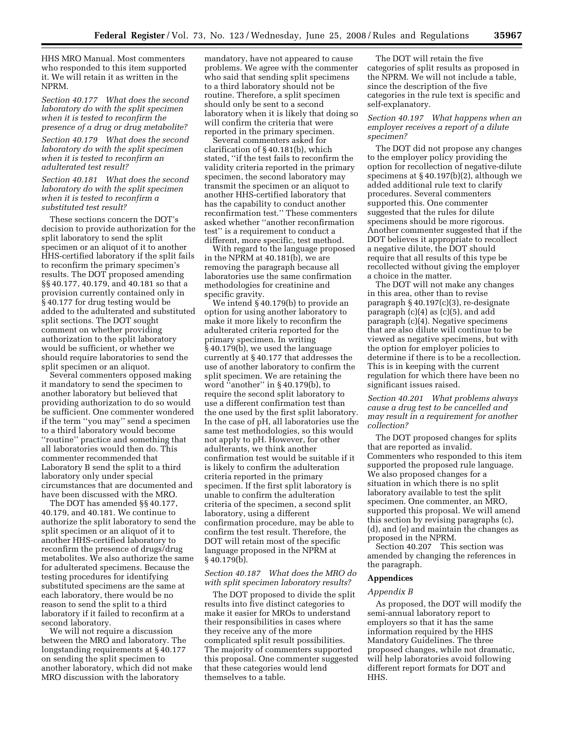HHS MRO Manual. Most commenters who responded to this item supported it. We will retain it as written in the NPRM.

### *Section 40.177 What does the second laboratory do with the split specimen when it is tested to reconfirm the presence of a drug or drug metabolite?*

### *Section 40.179 What does the second laboratory do with the split specimen when it is tested to reconfirm an adulterated test result?*

### *Section 40.181 What does the second laboratory do with the split specimen when it is tested to reconfirm a substituted test result?*

These sections concern the DOT's decision to provide authorization for the split laboratory to send the split specimen or an aliquot of it to another HHS-certified laboratory if the split fails to reconfirm the primary specimen's results. The DOT proposed amending §§ 40.177, 40.179, and 40.181 so that a provision currently contained only in § 40.177 for drug testing would be added to the adulterated and substituted split sections. The DOT sought comment on whether providing authorization to the split laboratory would be sufficient, or whether we should require laboratories to send the split specimen or an aliquot.

Several commenters opposed making it mandatory to send the specimen to another laboratory but believed that providing authorization to do so would be sufficient. One commenter wondered if the term ''you may'' send a specimen to a third laboratory would become ''routine'' practice and something that all laboratories would then do. This commenter recommended that Laboratory B send the split to a third laboratory only under special circumstances that are documented and have been discussed with the MRO.

The DOT has amended §§ 40.177, 40.179, and 40.181. We continue to authorize the split laboratory to send the split specimen or an aliquot of it to another HHS-certified laboratory to reconfirm the presence of drugs/drug metabolites. We also authorize the same for adulterated specimens. Because the testing procedures for identifying substituted specimens are the same at each laboratory, there would be no reason to send the split to a third laboratory if it failed to reconfirm at a second laboratory.

We will not require a discussion between the MRO and laboratory. The longstanding requirements at § 40.177 on sending the split specimen to another laboratory, which did not make MRO discussion with the laboratory

mandatory, have not appeared to cause problems. We agree with the commenter who said that sending split specimens to a third laboratory should not be routine. Therefore, a split specimen should only be sent to a second laboratory when it is likely that doing so will confirm the criteria that were reported in the primary specimen.

Several commenters asked for clarification of § 40.181(b), which stated, ''if the test fails to reconfirm the validity criteria reported in the primary specimen, the second laboratory may transmit the specimen or an aliquot to another HHS-certified laboratory that has the capability to conduct another reconfirmation test.'' These commenters asked whether ''another reconfirmation test'' is a requirement to conduct a different, more specific, test method.

With regard to the language proposed in the NPRM at 40.181(b), we are removing the paragraph because all laboratories use the same confirmation methodologies for creatinine and specific gravity.

We intend § 40.179(b) to provide an option for using another laboratory to make it more likely to reconfirm the adulterated criteria reported for the primary specimen. In writing § 40.179(b), we used the language currently at § 40.177 that addresses the use of another laboratory to confirm the split specimen. We are retaining the word ''another'' in § 40.179(b), to require the second split laboratory to use a different confirmation test than the one used by the first split laboratory. In the case of pH, all laboratories use the same test methodologies, so this would not apply to pH. However, for other adulterants, we think another confirmation test would be suitable if it is likely to confirm the adulteration criteria reported in the primary specimen. If the first split laboratory is unable to confirm the adulteration criteria of the specimen, a second split laboratory, using a different confirmation procedure, may be able to confirm the test result. Therefore, the DOT will retain most of the specific language proposed in the NPRM at § 40.179(b).

# *Section 40.187 What does the MRO do with split specimen laboratory results?*

The DOT proposed to divide the split results into five distinct categories to make it easier for MROs to understand their responsibilities in cases where they receive any of the more complicated split result possibilities. The majority of commenters supported this proposal. One commenter suggested that these categories would lend themselves to a table.

The DOT will retain the five categories of split results as proposed in the NPRM. We will not include a table, since the description of the five categories in the rule text is specific and self-explanatory.

### *Section 40.197 What happens when an employer receives a report of a dilute specimen?*

The DOT did not propose any changes to the employer policy providing the option for recollection of negative-dilute specimens at § 40.197(b)(2), although we added additional rule text to clarify procedures. Several commenters supported this. One commenter suggested that the rules for dilute specimens should be more rigorous. Another commenter suggested that if the DOT believes it appropriate to recollect a negative dilute, the DOT should require that all results of this type be recollected without giving the employer a choice in the matter.

The DOT will not make any changes in this area, other than to revise paragraph § 40.197(c)(3), re-designate paragraph  $(c)(4)$  as  $(c)(5)$ , and add paragraph (c)(4). Negative specimens that are also dilute will continue to be viewed as negative specimens, but with the option for employer policies to determine if there is to be a recollection. This is in keeping with the current regulation for which there have been no significant issues raised.

*Section 40.201 What problems always cause a drug test to be cancelled and may result in a requirement for another collection?* 

The DOT proposed changes for splits that are reported as invalid. Commenters who responded to this item supported the proposed rule language. We also proposed changes for a situation in which there is no split laboratory available to test the split specimen. One commenter, an MRO, supported this proposal. We will amend this section by revising paragraphs (c), (d), and (e) and maintain the changes as proposed in the NPRM.

Section 40.207 This section was amended by changing the references in the paragraph.

## **Appendices**

#### *Appendix B*

As proposed, the DOT will modify the semi-annual laboratory report to employers so that it has the same information required by the HHS Mandatory Guidelines. The three proposed changes, while not dramatic, will help laboratories avoid following different report formats for DOT and HHS.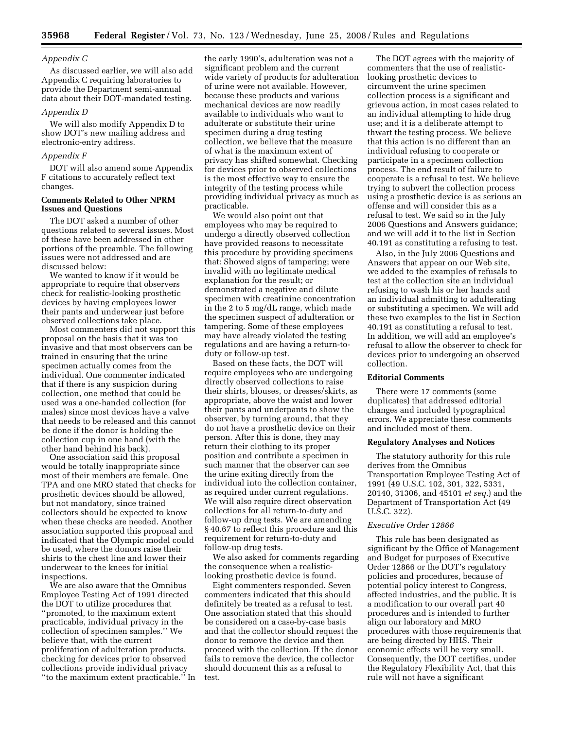#### *Appendix C*

As discussed earlier, we will also add Appendix C requiring laboratories to provide the Department semi-annual data about their DOT-mandated testing.

# *Appendix D*

We will also modify Appendix D to show DOT's new mailing address and electronic-entry address.

# *Appendix F*

DOT will also amend some Appendix F citations to accurately reflect text changes.

### **Comments Related to Other NPRM Issues and Questions**

The DOT asked a number of other questions related to several issues. Most of these have been addressed in other portions of the preamble. The following issues were not addressed and are discussed below:

We wanted to know if it would be appropriate to require that observers check for realistic-looking prosthetic devices by having employees lower their pants and underwear just before observed collections take place.

Most commenters did not support this proposal on the basis that it was too invasive and that most observers can be trained in ensuring that the urine specimen actually comes from the individual. One commenter indicated that if there is any suspicion during collection, one method that could be used was a one-handed collection (for males) since most devices have a valve that needs to be released and this cannot be done if the donor is holding the collection cup in one hand (with the other hand behind his back).

One association said this proposal would be totally inappropriate since most of their members are female. One TPA and one MRO stated that checks for prosthetic devices should be allowed, but not mandatory, since trained collectors should be expected to know when these checks are needed. Another association supported this proposal and indicated that the Olympic model could be used, where the donors raise their shirts to the chest line and lower their underwear to the knees for initial inspections.

We are also aware that the Omnibus Employee Testing Act of 1991 directed the DOT to utilize procedures that ''promoted, to the maximum extent practicable, individual privacy in the collection of specimen samples.'' We believe that, with the current proliferation of adulteration products, checking for devices prior to observed collections provide individual privacy ''to the maximum extent practicable.'' In the early 1990's, adulteration was not a significant problem and the current wide variety of products for adulteration of urine were not available. However, because these products and various mechanical devices are now readily available to individuals who want to adulterate or substitute their urine specimen during a drug testing collection, we believe that the measure of what is the maximum extent of privacy has shifted somewhat. Checking for devices prior to observed collections is the most effective way to ensure the integrity of the testing process while providing individual privacy as much as practicable.

We would also point out that employees who may be required to undergo a directly observed collection have provided reasons to necessitate this procedure by providing specimens that: Showed signs of tampering; were invalid with no legitimate medical explanation for the result; or demonstrated a negative and dilute specimen with creatinine concentration in the 2 to 5 mg/dL range, which made the specimen suspect of adulteration or tampering. Some of these employees may have already violated the testing regulations and are having a return-toduty or follow-up test.

Based on these facts, the DOT will require employees who are undergoing directly observed collections to raise their shirts, blouses, or dresses/skirts, as appropriate, above the waist and lower their pants and underpants to show the observer, by turning around, that they do not have a prosthetic device on their person. After this is done, they may return their clothing to its proper position and contribute a specimen in such manner that the observer can see the urine exiting directly from the individual into the collection container, as required under current regulations. We will also require direct observation collections for all return-to-duty and follow-up drug tests. We are amending § 40.67 to reflect this procedure and this requirement for return-to-duty and follow-up drug tests.

We also asked for comments regarding the consequence when a realisticlooking prosthetic device is found.

Eight commenters responded. Seven commenters indicated that this should definitely be treated as a refusal to test. One association stated that this should be considered on a case-by-case basis and that the collector should request the donor to remove the device and then proceed with the collection. If the donor fails to remove the device, the collector should document this as a refusal to test.

The DOT agrees with the majority of commenters that the use of realisticlooking prosthetic devices to circumvent the urine specimen collection process is a significant and grievous action, in most cases related to an individual attempting to hide drug use; and it is a deliberate attempt to thwart the testing process. We believe that this action is no different than an individual refusing to cooperate or participate in a specimen collection process. The end result of failure to cooperate is a refusal to test. We believe trying to subvert the collection process using a prosthetic device is as serious an offense and will consider this as a refusal to test. We said so in the July 2006 Questions and Answers guidance; and we will add it to the list in Section 40.191 as constituting a refusing to test.

Also, in the July 2006 Questions and Answers that appear on our Web site, we added to the examples of refusals to test at the collection site an individual refusing to wash his or her hands and an individual admitting to adulterating or substituting a specimen. We will add these two examples to the list in Section 40.191 as constituting a refusal to test. In addition, we will add an employee's refusal to allow the observer to check for devices prior to undergoing an observed collection.

# **Editorial Comments**

There were 17 comments (some duplicates) that addressed editorial changes and included typographical errors. We appreciate these comments and included most of them.

#### **Regulatory Analyses and Notices**

The statutory authority for this rule derives from the Omnibus Transportation Employee Testing Act of 1991 (49 U.S.C. 102, 301, 322, 5331, 20140, 31306, and 45101 *et seq.*) and the Department of Transportation Act (49 U.S.C. 322).

### *Executive Order 12866*

This rule has been designated as significant by the Office of Management and Budget for purposes of Executive Order 12866 or the DOT's regulatory policies and procedures, because of potential policy interest to Congress, affected industries, and the public. It is a modification to our overall part 40 procedures and is intended to further align our laboratory and MRO procedures with those requirements that are being directed by HHS. Their economic effects will be very small. Consequently, the DOT certifies, under the Regulatory Flexibility Act, that this rule will not have a significant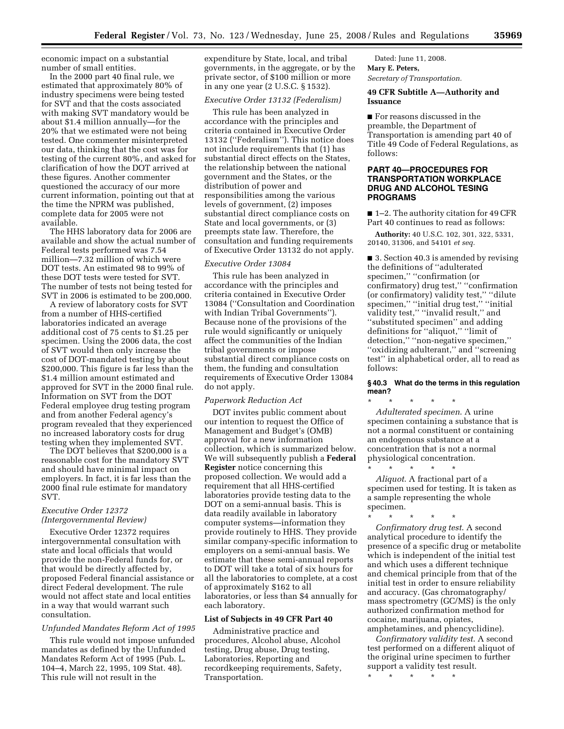economic impact on a substantial number of small entities.

In the 2000 part 40 final rule, we estimated that approximately 80% of industry specimens were being tested for SVT and that the costs associated with making SVT mandatory would be about \$1.4 million annually—for the 20% that we estimated were not being tested. One commenter misinterpreted our data, thinking that the cost was for testing of the current 80%, and asked for clarification of how the DOT arrived at these figures. Another commenter questioned the accuracy of our more current information, pointing out that at the time the NPRM was published, complete data for 2005 were not available.

The HHS laboratory data for 2006 are available and show the actual number of Federal tests performed was 7.54 million—7.32 million of which were DOT tests. An estimated 98 to 99% of these DOT tests were tested for SVT. The number of tests not being tested for SVT in 2006 is estimated to be 200,000.

A review of laboratory costs for SVT from a number of HHS-certified laboratories indicated an average additional cost of 75 cents to \$1.25 per specimen. Using the 2006 data, the cost of SVT would then only increase the cost of DOT-mandated testing by about \$200,000. This figure is far less than the \$1.4 million amount estimated and approved for SVT in the 2000 final rule. Information on SVT from the DOT Federal employee drug testing program and from another Federal agency's program revealed that they experienced no increased laboratory costs for drug testing when they implemented SVT.

The DOT believes that \$200,000 is a reasonable cost for the mandatory SVT and should have minimal impact on employers. In fact, it is far less than the 2000 final rule estimate for mandatory SVT.

# *Executive Order 12372 (Intergovernmental Review)*

Executive Order 12372 requires intergovernmental consultation with state and local officials that would provide the non-Federal funds for, or that would be directly affected by, proposed Federal financial assistance or direct Federal development. The rule would not affect state and local entities in a way that would warrant such consultation.

#### *Unfunded Mandates Reform Act of 1995*

This rule would not impose unfunded mandates as defined by the Unfunded Mandates Reform Act of 1995 (Pub. L. 104–4, March 22, 1995, 109 Stat. 48). This rule will not result in the

expenditure by State, local, and tribal governments, in the aggregate, or by the private sector, of \$100 million or more in any one year (2 U.S.C. § 1532).

# *Executive Order 13132 (Federalism)*

This rule has been analyzed in accordance with the principles and criteria contained in Executive Order 13132 (''Federalism''). This notice does not include requirements that (1) has substantial direct effects on the States, the relationship between the national government and the States, or the distribution of power and responsibilities among the various levels of government, (2) imposes substantial direct compliance costs on State and local governments, or (3) preempts state law. Therefore, the consultation and funding requirements of Executive Order 13132 do not apply.

#### *Executive Order 13084*

This rule has been analyzed in accordance with the principles and criteria contained in Executive Order 13084 (''Consultation and Coordination with Indian Tribal Governments''). Because none of the provisions of the rule would significantly or uniquely affect the communities of the Indian tribal governments or impose substantial direct compliance costs on them, the funding and consultation requirements of Executive Order 13084 do not apply.

### *Paperwork Reduction Act*

DOT invites public comment about our intention to request the Office of Management and Budget's (OMB) approval for a new information collection, which is summarized below. We will subsequently publish a **Federal Register** notice concerning this proposed collection. We would add a requirement that all HHS-certified laboratories provide testing data to the DOT on a semi-annual basis. This is data readily available in laboratory computer systems—information they provide routinely to HHS. They provide similar company-specific information to employers on a semi-annual basis. We estimate that these semi-annual reports to DOT will take a total of six hours for all the laboratories to complete, at a cost of approximately \$162 to all laboratories, or less than \$4 annually for each laboratory.

#### **List of Subjects in 49 CFR Part 40**

Administrative practice and procedures, Alcohol abuse, Alcohol testing, Drug abuse, Drug testing, Laboratories, Reporting and recordkeeping requirements, Safety, Transportation.

Dated: June 11, 2008. **Mary E. Peters,**  *Secretary of Transportation.* 

### **49 CFR Subtitle A—Authority and Issuance**

■ For reasons discussed in the preamble, the Department of Transportation is amending part 40 of Title 49 Code of Federal Regulations, as follows:

## **PART 40—PROCEDURES FOR TRANSPORTATION WORKPLACE DRUG AND ALCOHOL TESING PROGRAMS**

■ 1–2. The authority citation for 49 CFR Part 40 continues to read as follows:

**Authority:** 40 U.S.C. 102, 301, 322, 5331, 20140, 31306, and 54101 *et seq.* 

■ 3. Section 40.3 is amended by revising the definitions of ''adulterated specimen," "confirmation (or confirmatory) drug test,'' ''confirmation (or confirmatory) validity test,'' ''dilute specimen," "initial drug test," "initial validity test,'' ''invalid result,'' and ''substituted specimen'' and adding definitions for ''aliquot,'' ''limit of detection,'' ''non-negative specimen,'' ''oxidizing adulterant,'' and ''screening test'' in alphabetical order, all to read as follows:

### **§ 40.3 What do the terms in this regulation mean?**

\* \* \* \* \* *Adulterated specimen*. A urine specimen containing a substance that is not a normal constituent or containing an endogenous substance at a concentration that is not a normal physiological concentration.

\* \* \* \* \* *Aliquot*. A fractional part of a specimen used for testing. It is taken as a sample representing the whole specimen.

\* \* \* \* \*

*Confirmatory drug test*. A second analytical procedure to identify the presence of a specific drug or metabolite which is independent of the initial test and which uses a different technique and chemical principle from that of the initial test in order to ensure reliability and accuracy. (Gas chromatography/ mass spectrometry (GC/MS) is the only authorized confirmation method for cocaine, marijuana, opiates, amphetamines, and phencyclidine).

*Confirmatory validity test*. A second test performed on a different aliquot of the original urine specimen to further support a validity test result.

\* \* \* \* \*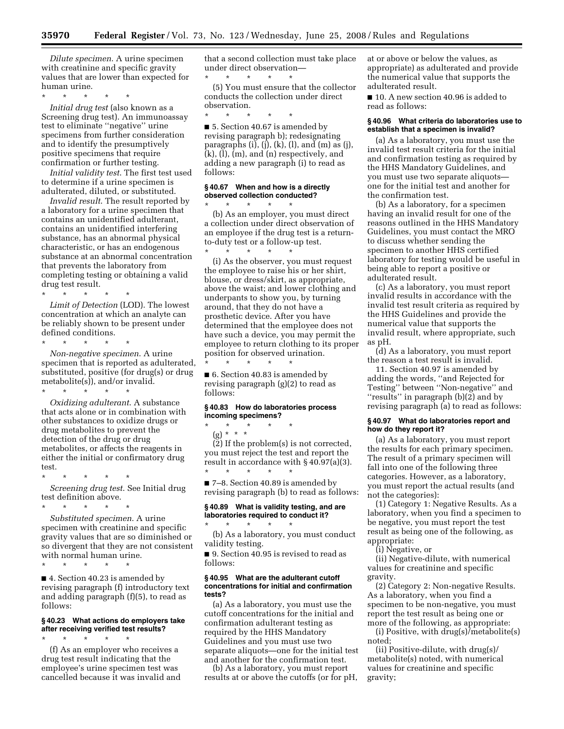*Dilute specimen*. A urine specimen with creatinine and specific gravity values that are lower than expected for human urine.

\* \* \* \* \*

*Initial drug test* (also known as a Screening drug test). An immunoassay test to eliminate ''negative'' urine specimens from further consideration and to identify the presumptively positive specimens that require confirmation or further testing.

*Initial validity test*. The first test used to determine if a urine specimen is adulterated, diluted, or substituted.

*Invalid result*. The result reported by a laboratory for a urine specimen that contains an unidentified adulterant, contains an unidentified interfering substance, has an abnormal physical characteristic, or has an endogenous substance at an abnormal concentration that prevents the laboratory from completing testing or obtaining a valid drug test result.

\* \* \* \* \* *Limit of Detection* (LOD). The lowest concentration at which an analyte can be reliably shown to be present under

defined conditions. \* \* \* \* \*

*Non-negative specimen*. A urine specimen that is reported as adulterated, substituted, positive (for drug(s) or drug metabolite(s)), and/or invalid.

\* \* \* \* \*

*Oxidizing adulterant*. A substance that acts alone or in combination with other substances to oxidize drugs or drug metabolites to prevent the detection of the drug or drug metabolites, or affects the reagents in either the initial or confirmatory drug test.

\* \* \* \* \* *Screening drug test*. See Initial drug

test definition above.

\* \* \* \* \* *Substituted specimen*. A urine specimen with creatinine and specific gravity values that are so diminished or so divergent that they are not consistent with normal human urine.

\* \* \* \* \*

\* \* \* \* \*

■ 4. Section 40.23 is amended by revising paragraph (f) introductory text and adding paragraph (f)(5), to read as follows:

# **§ 40.23 What actions do employers take after receiving verified test results?**

(f) As an employer who receives a drug test result indicating that the employee's urine specimen test was cancelled because it was invalid and that a second collection must take place under direct observation— \* \* \* \* \*

(5) You must ensure that the collector conducts the collection under direct observation. \* \* \* \* \*

■ 5. Section 40.67 is amended by revising paragraph b); redesignating paragraphs  $(i)$ ,  $(j)$ ,  $(k)$ ,  $(l)$ , and  $(m)$  as  $(j)$ , (k), (l), (m), and (n) respectively, and adding a new paragraph (i) to read as follows:

# **§ 40.67 When and how is a directly observed collection conducted?**

\* \* \* \* \* (b) As an employer, you must direct a collection under direct observation of an employee if the drug test is a returnto-duty test or a follow-up test.

\* \* \* \* \* (i) As the observer, you must request the employee to raise his or her shirt, blouse, or dress/skirt, as appropriate, above the waist; and lower clothing and underpants to show you, by turning around, that they do not have a prosthetic device. After you have determined that the employee does not have such a device, you may permit the employee to return clothing to its proper position for observed urination. \* \* \* \* \*

■ 6. Section 40.83 is amended by revising paragraph (g)(2) to read as follows:

#### **§ 40.83 How do laboratories process incoming specimens?**

\* \* \* \* \* (g) \* \* \*

(2) If the problem(s) is not corrected, you must reject the test and report the result in accordance with § 40.97(a)(3). \* \* \* \* \*

■ 7–8. Section 40.89 is amended by revising paragraph (b) to read as follows:

### **§ 40.89 What is validity testing, and are laboratories required to conduct it?**

\* \* \* \* \* (b) As a laboratory, you must conduct validity testing.

■ 9. Section 40.95 is revised to read as follows:

#### **§ 40.95 What are the adulterant cutoff concentrations for initial and confirmation tests?**

(a) As a laboratory, you must use the cutoff concentrations for the initial and confirmation adulterant testing as required by the HHS Mandatory Guidelines and you must use two separate aliquots—one for the initial test and another for the confirmation test.

(b) As a laboratory, you must report results at or above the cutoffs (or for pH, at or above or below the values, as appropriate) as adulterated and provide the numerical value that supports the adulterated result.

■ 10. A new section 40.96 is added to read as follows:

#### **§ 40.96 What criteria do laboratories use to establish that a specimen is invalid?**

(a) As a laboratory, you must use the invalid test result criteria for the initial and confirmation testing as required by the HHS Mandatory Guidelines, and you must use two separate aliquots one for the initial test and another for the confirmation test.

(b) As a laboratory, for a specimen having an invalid result for one of the reasons outlined in the HHS Mandatory Guidelines, you must contact the MRO to discuss whether sending the specimen to another HHS certified laboratory for testing would be useful in being able to report a positive or adulterated result.

(c) As a laboratory, you must report invalid results in accordance with the invalid test result criteria as required by the HHS Guidelines and provide the numerical value that supports the invalid result, where appropriate, such as pH.

(d) As a laboratory, you must report the reason a test result is invalid.

11. Section 40.97 is amended by adding the words, ''and Rejected for Testing'' between ''Non-negative'' and "results" in paragraph (b)(2) and by revising paragraph (a) to read as follows:

### **§ 40.97 What do laboratories report and how do they report it?**

(a) As a laboratory, you must report the results for each primary specimen. The result of a primary specimen will fall into one of the following three categories. However, as a laboratory, you must report the actual results (and not the categories):

(1) Category 1: Negative Results. As a laboratory, when you find a specimen to be negative, you must report the test result as being one of the following, as appropriate:

(i) Negative, or

(ii) Negative-dilute, with numerical values for creatinine and specific gravity.

(2) Category 2: Non-negative Results. As a laboratory, when you find a specimen to be non-negative, you must report the test result as being one or more of the following, as appropriate:

(i) Positive, with drug(s)/metabolite(s) noted;

(ii) Positive-dilute, with drug(s)/ metabolite(s) noted, with numerical values for creatinine and specific gravity;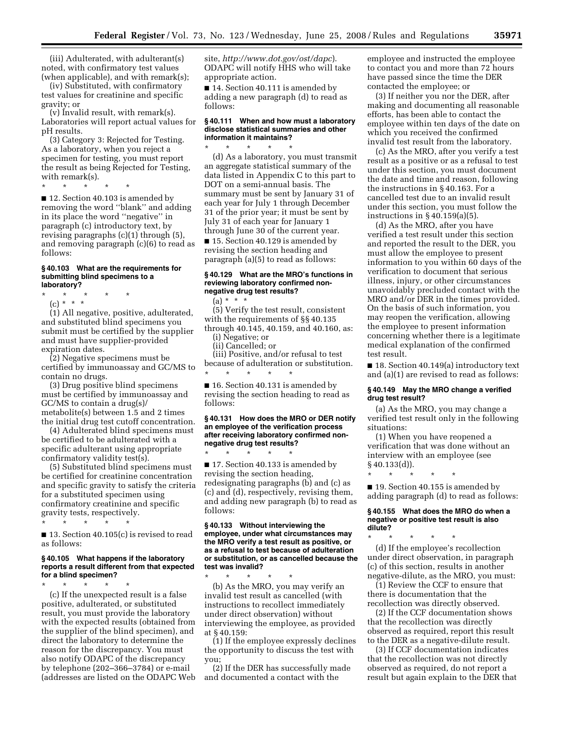(iii) Adulterated, with adulterant(s) noted, with confirmatory test values (when applicable), and with remark(s);

(iv) Substituted, with confirmatory test values for creatinine and specific gravity; or

(v) Invalid result, with remark(s). Laboratories will report actual values for pH results.

(3) Category 3: Rejected for Testing. As a laboratory, when you reject a specimen for testing, you must report the result as being Rejected for Testing, with remark(s).

\* \* \* \* \*

■ 12. Section 40.103 is amended by removing the word ''blank'' and adding in its place the word ''negative'' in paragraph (c) introductory text, by revising paragraphs (c)(1) through (5), and removing paragraph (c)(6) to read as follows:

### **§ 40.103 What are the requirements for submitting blind specimens to a laboratory?**

- \* \* \* \* \*
- (c) \* \* \*

(1) All negative, positive, adulterated, and substituted blind specimens you submit must be certified by the supplier and must have supplier-provided expiration dates.

(2) Negative specimens must be certified by immunoassay and GC/MS to contain no drugs.

(3) Drug positive blind specimens must be certified by immunoassay and GC/MS to contain a drug(s)/ metabolite(s) between 1.5 and 2 times the initial drug test cutoff concentration.

(4) Adulterated blind specimens must be certified to be adulterated with a specific adulterant using appropriate confirmatory validity test(s).

(5) Substituted blind specimens must be certified for creatinine concentration and specific gravity to satisfy the criteria for a substituted specimen using confirmatory creatinine and specific gravity tests, respectively.

\* \* \* \* \* ■ 13. Section 40.105(c) is revised to read as follows:

### **§ 40.105 What happens if the laboratory reports a result different from that expected for a blind specimen?**

\* \* \* \* \* (c) If the unexpected result is a false positive, adulterated, or substituted result, you must provide the laboratory with the expected results (obtained from the supplier of the blind specimen), and direct the laboratory to determine the reason for the discrepancy. You must also notify ODAPC of the discrepancy by telephone (202–366–3784) or e-mail (addresses are listed on the ODAPC Web

site, *http://www.dot.gov/ost/dapc*). ODAPC will notify HHS who will take appropriate action.

■ 14. Section 40.111 is amended by adding a new paragraph (d) to read as follows:

### **§ 40.111 When and how must a laboratory disclose statistical summaries and other information it maintains?**

\* \* \* \* \* (d) As a laboratory, you must transmit an aggregate statistical summary of the data listed in Appendix C to this part to DOT on a semi-annual basis. The summary must be sent by January 31 of each year for July 1 through December 31 of the prior year; it must be sent by July 31 of each year for January 1 through June 30 of the current year.

■ 15. Section 40.129 is amended by revising the section heading and paragraph (a)(5) to read as follows:

#### **§ 40.129 What are the MRO's functions in reviewing laboratory confirmed nonnegative drug test results?**

 $(a) * * * *$ 

(5) Verify the test result, consistent with the requirements of §§ 40.135 through 40.145, 40.159, and 40.160, as:

- (i) Negative; or
- (ii) Cancelled; or

(iii) Positive, and/or refusal to test because of adulteration or substitution. \* \* \* \* \*

■ 16. Section 40.131 is amended by revising the section heading to read as follows:

### **§ 40.131 How does the MRO or DER notify an employee of the verification process after receiving laboratory confirmed nonnegative drug test results?**

\* \* \* \* \* ■ 17. Section 40.133 is amended by revising the section heading, redesignating paragraphs (b) and (c) as (c) and (d), respectively, revising them, and adding new paragraph (b) to read as follows:

#### **§ 40.133 Without interviewing the employee, under what circumstances may the MRO verify a test result as positive, or as a refusal to test because of adulteration or substitution, or as cancelled because the test was invalid?**

\* \* \* \* \* (b) As the MRO, you may verify an invalid test result as cancelled (with instructions to recollect immediately under direct observation) without interviewing the employee, as provided at § 40.159:

(1) If the employee expressly declines the opportunity to discuss the test with you;

(2) If the DER has successfully made and documented a contact with the

employee and instructed the employee to contact you and more than 72 hours have passed since the time the DER contacted the employee; or

(3) If neither you nor the DER, after making and documenting all reasonable efforts, has been able to contact the employee within ten days of the date on which you received the confirmed invalid test result from the laboratory.

(c) As the MRO, after you verify a test result as a positive or as a refusal to test under this section, you must document the date and time and reason, following the instructions in § 40.163. For a cancelled test due to an invalid result under this section, you must follow the instructions in  $\S$  40.159(a)(5).

(d) As the MRO, after you have verified a test result under this section and reported the result to the DER, you must allow the employee to present information to you within 60 days of the verification to document that serious illness, injury, or other circumstances unavoidably precluded contact with the MRO and/or DER in the times provided. On the basis of such information, you may reopen the verification, allowing the employee to present information concerning whether there is a legitimate medical explanation of the confirmed test result.

■ 18. Section 40.149(a) introductory text and (a)(1) are revised to read as follows:

### **§ 40.149 May the MRO change a verified drug test result?**

(a) As the MRO, you may change a verified test result only in the following situations:

(1) When you have reopened a verification that was done without an interview with an employee (see § 40.133(d)).

\* \* \* \* \* ■ 19. Section 40.155 is amended by adding paragraph (d) to read as follows:

### **§ 40.155 What does the MRO do when a negative or positive test result is also dilute?**

\* \* \* \* \* (d) If the employee's recollection under direct observation, in paragraph (c) of this section, results in another negative-dilute, as the MRO, you must:

(1) Review the CCF to ensure that there is documentation that the recollection was directly observed.

(2) If the CCF documentation shows that the recollection was directly observed as required, report this result to the DER as a negative-dilute result.

(3) If CCF documentation indicates that the recollection was not directly observed as required, do not report a result but again explain to the DER that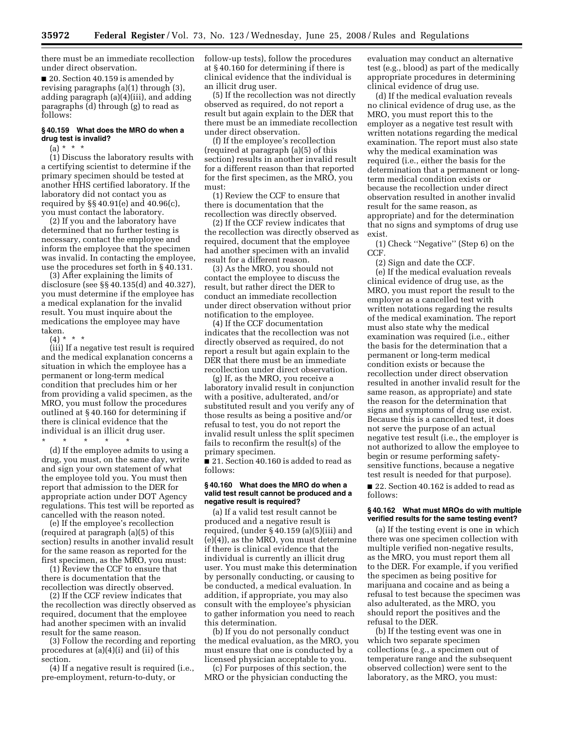there must be an immediate recollection under direct observation.

■ 20. Section 40.159 is amended by revising paragraphs (a)(1) through (3), adding paragraph (a)(4)(iii), and adding paragraphs (d) through (g) to read as follows:

### **§ 40.159 What does the MRO do when a drug test is invalid?**

 $(a) * * * *$ 

(1) Discuss the laboratory results with a certifying scientist to determine if the primary specimen should be tested at another HHS certified laboratory. If the laboratory did not contact you as required by §§ 40.91(e) and 40.96(c), you must contact the laboratory.

(2) If you and the laboratory have determined that no further testing is necessary, contact the employee and inform the employee that the specimen was invalid. In contacting the employee, use the procedures set forth in § 40.131.

(3) After explaining the limits of disclosure (see §§ 40.135(d) and 40.327), you must determine if the employee has a medical explanation for the invalid result. You must inquire about the medications the employee may have taken.

 $(4) * * * *$ 

(iii) If a negative test result is required and the medical explanation concerns a situation in which the employee has a permanent or long-term medical condition that precludes him or her from providing a valid specimen, as the MRO, you must follow the procedures outlined at § 40.160 for determining if there is clinical evidence that the individual is an illicit drug user.

\* \* \* \* \*

(d) If the employee admits to using a drug, you must, on the same day, write and sign your own statement of what the employee told you. You must then report that admission to the DER for appropriate action under DOT Agency regulations. This test will be reported as cancelled with the reason noted.

(e) If the employee's recollection (required at paragraph (a)(5) of this section) results in another invalid result for the same reason as reported for the first specimen, as the MRO, you must:

(1) Review the CCF to ensure that there is documentation that the recollection was directly observed.

(2) If the CCF review indicates that the recollection was directly observed as required, document that the employee had another specimen with an invalid result for the same reason.

(3) Follow the recording and reporting procedures at (a)(4)(i) and (ii) of this section.

(4) If a negative result is required (i.e., pre-employment, return-to-duty, or

follow-up tests), follow the procedures at § 40.160 for determining if there is clinical evidence that the individual is an illicit drug user.

(5) If the recollection was not directly observed as required, do not report a result but again explain to the DER that there must be an immediate recollection under direct observation.

(f) If the employee's recollection (required at paragraph (a)(5) of this section) results in another invalid result for a different reason than that reported for the first specimen, as the MRO, you must:

(1) Review the CCF to ensure that there is documentation that the recollection was directly observed.

(2) If the CCF review indicates that the recollection was directly observed as required, document that the employee had another specimen with an invalid result for a different reason.

(3) As the MRO, you should not contact the employee to discuss the result, but rather direct the DER to conduct an immediate recollection under direct observation without prior notification to the employee.

(4) If the CCF documentation indicates that the recollection was not directly observed as required, do not report a result but again explain to the DER that there must be an immediate recollection under direct observation.

(g) If, as the MRO, you receive a laboratory invalid result in conjunction with a positive, adulterated, and/or substituted result and you verify any of those results as being a positive and/or refusal to test, you do not report the invalid result unless the split specimen fails to reconfirm the result(s) of the primary specimen.

■ 21. Section 40.160 is added to read as follows:

#### **§ 40.160 What does the MRO do when a valid test result cannot be produced and a negative result is required?**

(a) If a valid test result cannot be produced and a negative result is required, (under § 40.159 (a)(5)(iii) and (e)(4)), as the MRO, you must determine if there is clinical evidence that the individual is currently an illicit drug user. You must make this determination by personally conducting, or causing to be conducted, a medical evaluation. In addition, if appropriate, you may also consult with the employee's physician to gather information you need to reach this determination.

(b) If you do not personally conduct the medical evaluation, as the MRO, you must ensure that one is conducted by a licensed physician acceptable to you.

(c) For purposes of this section, the MRO or the physician conducting the

evaluation may conduct an alternative test (e.g., blood) as part of the medically appropriate procedures in determining clinical evidence of drug use.

(d) If the medical evaluation reveals no clinical evidence of drug use, as the MRO, you must report this to the employer as a negative test result with written notations regarding the medical examination. The report must also state why the medical examination was required (i.e., either the basis for the determination that a permanent or longterm medical condition exists or because the recollection under direct observation resulted in another invalid result for the same reason, as appropriate) and for the determination that no signs and symptoms of drug use exist.

(1) Check ''Negative'' (Step 6) on the CCF.

(2) Sign and date the CCF.

(e) If the medical evaluation reveals clinical evidence of drug use, as the MRO, you must report the result to the employer as a cancelled test with written notations regarding the results of the medical examination. The report must also state why the medical examination was required (i.e., either the basis for the determination that a permanent or long-term medical condition exists or because the recollection under direct observation resulted in another invalid result for the same reason, as appropriate) and state the reason for the determination that signs and symptoms of drug use exist. Because this is a cancelled test, it does not serve the purpose of an actual negative test result (i.e., the employer is not authorized to allow the employee to begin or resume performing safetysensitive functions, because a negative test result is needed for that purpose).

■ 22. Section 40.162 is added to read as follows:

### **§ 40.162 What must MROs do with multiple verified results for the same testing event?**

(a) If the testing event is one in which there was one specimen collection with multiple verified non-negative results, as the MRO, you must report them all to the DER. For example, if you verified the specimen as being positive for marijuana and cocaine and as being a refusal to test because the specimen was also adulterated, as the MRO, you should report the positives and the refusal to the DER.

(b) If the testing event was one in which two separate specimen collections (e.g., a specimen out of temperature range and the subsequent observed collection) were sent to the laboratory, as the MRO, you must: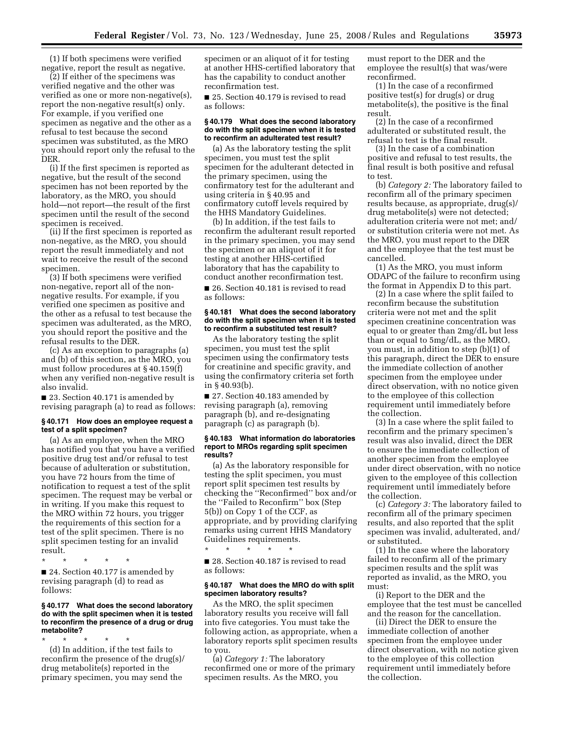(1) If both specimens were verified negative, report the result as negative.

(2) If either of the specimens was verified negative and the other was verified as one or more non-negative(s), report the non-negative result(s) only. For example, if you verified one specimen as negative and the other as a refusal to test because the second specimen was substituted, as the MRO you should report only the refusal to the DER.

(i) If the first specimen is reported as negative, but the result of the second specimen has not been reported by the laboratory, as the MRO, you should hold—not report—the result of the first specimen until the result of the second specimen is received.

(ii) If the first specimen is reported as non-negative, as the MRO, you should report the result immediately and not wait to receive the result of the second specimen.

(3) If both specimens were verified non-negative, report all of the nonnegative results. For example, if you verified one specimen as positive and the other as a refusal to test because the specimen was adulterated, as the MRO, you should report the positive and the refusal results to the DER.

(c) As an exception to paragraphs (a) and (b) of this section, as the MRO, you must follow procedures at § 40.159(f) when any verified non-negative result is also invalid.

■ 23. Section 40.171 is amended by revising paragraph (a) to read as follows:

### **§ 40.171 How does an employee request a test of a split specimen?**

(a) As an employee, when the MRO has notified you that you have a verified positive drug test and/or refusal to test because of adulteration or substitution, you have 72 hours from the time of notification to request a test of the split specimen. The request may be verbal or in writing. If you make this request to the MRO within 72 hours, you trigger the requirements of this section for a test of the split specimen. There is no split specimen testing for an invalid result.

\* \* \* \* \*

■ 24. Section 40.177 is amended by revising paragraph (d) to read as follows:

#### **§ 40.177 What does the second laboratory do with the split specimen when it is tested to reconfirm the presence of a drug or drug metabolite?**

\* \* \* \* \* (d) In addition, if the test fails to reconfirm the presence of the drug(s)/ drug metabolite(s) reported in the primary specimen, you may send the

specimen or an aliquot of it for testing at another HHS-certified laboratory that has the capability to conduct another reconfirmation test.

■ 25. Section 40.179 is revised to read as follows:

#### **§ 40.179 What does the second laboratory do with the split specimen when it is tested to reconfirm an adulterated test result?**

(a) As the laboratory testing the split specimen, you must test the split specimen for the adulterant detected in the primary specimen, using the confirmatory test for the adulterant and using criteria in § 40.95 and confirmatory cutoff levels required by the HHS Mandatory Guidelines.

(b) In addition, if the test fails to reconfirm the adulterant result reported in the primary specimen, you may send the specimen or an aliquot of it for testing at another HHS-certified laboratory that has the capability to conduct another reconfirmation test.

■ 26. Section 40.181 is revised to read as follows:

#### **§ 40.181 What does the second laboratory do with the split specimen when it is tested to reconfirm a substituted test result?**

As the laboratory testing the split specimen, you must test the split specimen using the confirmatory tests for creatinine and specific gravity, and using the confirmatory criteria set forth in § 40.93(b).

■ 27. Section 40.183 amended by revising paragraph (a), removing paragraph (b), and re-designating paragraph (c) as paragraph (b).

#### **§ 40.183 What information do laboratories report to MROs regarding split specimen results?**

(a) As the laboratory responsible for testing the split specimen, you must report split specimen test results by checking the ''Reconfirmed'' box and/or the ''Failed to Reconfirm'' box (Step 5(b)) on Copy 1 of the CCF, as appropriate, and by providing clarifying remarks using current HHS Mandatory Guidelines requirements.

\* \* \* \* \*

■ 28. Section 40.187 is revised to read as follows:

#### **§ 40.187 What does the MRO do with split specimen laboratory results?**

As the MRO, the split specimen laboratory results you receive will fall into five categories. You must take the following action, as appropriate, when a laboratory reports split specimen results to you.

(a) *Category 1:* The laboratory reconfirmed one or more of the primary specimen results. As the MRO, you

must report to the DER and the employee the result(s) that was/were reconfirmed.

(1) In the case of a reconfirmed positive test(s) for drug(s) or drug metabolite(s), the positive is the final result.

(2) In the case of a reconfirmed adulterated or substituted result, the refusal to test is the final result.

(3) In the case of a combination positive and refusal to test results, the final result is both positive and refusal to test.

(b) *Category 2:* The laboratory failed to reconfirm all of the primary specimen results because, as appropriate, drug(s)/ drug metabolite(s) were not detected; adulteration criteria were not met; and/ or substitution criteria were not met. As the MRO, you must report to the DER and the employee that the test must be cancelled.

(1) As the MRO, you must inform ODAPC of the failure to reconfirm using the format in Appendix D to this part.

(2) In a case where the split failed to reconfirm because the substitution criteria were not met and the split specimen creatinine concentration was equal to or greater than 2mg/dL but less than or equal to 5mg/dL, as the MRO, you must, in addition to step (b)(1) of this paragraph, direct the DER to ensure the immediate collection of another specimen from the employee under direct observation, with no notice given to the employee of this collection requirement until immediately before the collection.

(3) In a case where the split failed to reconfirm and the primary specimen's result was also invalid, direct the DER to ensure the immediate collection of another specimen from the employee under direct observation, with no notice given to the employee of this collection requirement until immediately before the collection.

(c) *Category 3:* The laboratory failed to reconfirm all of the primary specimen results, and also reported that the split specimen was invalid, adulterated, and/ or substituted.

(1) In the case where the laboratory failed to reconfirm all of the primary specimen results and the split was reported as invalid, as the MRO, you must:

(i) Report to the DER and the employee that the test must be cancelled and the reason for the cancellation.

(ii) Direct the DER to ensure the immediate collection of another specimen from the employee under direct observation, with no notice given to the employee of this collection requirement until immediately before the collection.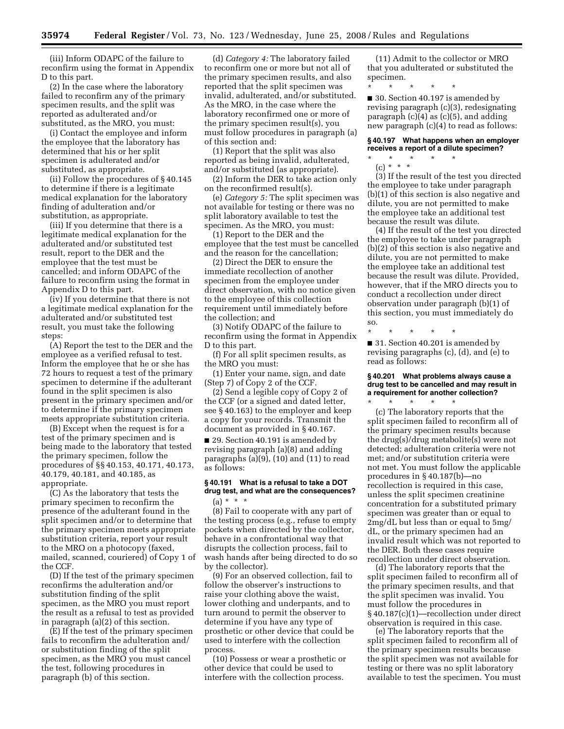(iii) Inform ODAPC of the failure to reconfirm using the format in Appendix D to this part.

(2) In the case where the laboratory failed to reconfirm any of the primary specimen results, and the split was reported as adulterated and/or substituted, as the MRO, you must:

(i) Contact the employee and inform the employee that the laboratory has determined that his or her split specimen is adulterated and/or substituted, as appropriate.

(ii) Follow the procedures of § 40.145 to determine if there is a legitimate medical explanation for the laboratory finding of adulteration and/or substitution, as appropriate.

(iii) If you determine that there is a legitimate medical explanation for the adulterated and/or substituted test result, report to the DER and the employee that the test must be cancelled; and inform ODAPC of the failure to reconfirm using the format in Appendix D to this part.

(iv) If you determine that there is not a legitimate medical explanation for the adulterated and/or substituted test result, you must take the following steps:

(A) Report the test to the DER and the employee as a verified refusal to test. Inform the employee that he or she has 72 hours to request a test of the primary specimen to determine if the adulterant found in the split specimen is also present in the primary specimen and/or to determine if the primary specimen meets appropriate substitution criteria.

(B) Except when the request is for a test of the primary specimen and is being made to the laboratory that tested the primary specimen, follow the procedures of §§ 40.153, 40.171, 40.173, 40.179, 40.181, and 40.185, as appropriate.

(C) As the laboratory that tests the primary specimen to reconfirm the presence of the adulterant found in the split specimen and/or to determine that the primary specimen meets appropriate substitution criteria, report your result to the MRO on a photocopy (faxed, mailed, scanned, couriered) of Copy 1 of the CCF.

(D) If the test of the primary specimen reconfirms the adulteration and/or substitution finding of the split specimen, as the MRO you must report the result as a refusal to test as provided in paragraph (a)(2) of this section.

(E) If the test of the primary specimen fails to reconfirm the adulteration and/ or substitution finding of the split specimen, as the MRO you must cancel the test, following procedures in paragraph (b) of this section.

(d) *Category 4:* The laboratory failed to reconfirm one or more but not all of the primary specimen results, and also reported that the split specimen was invalid, adulterated, and/or substituted. As the MRO, in the case where the laboratory reconfirmed one or more of the primary specimen result(s), you must follow procedures in paragraph (a) of this section and:

(1) Report that the split was also reported as being invalid, adulterated, and/or substituted (as appropriate).

(2) Inform the DER to take action only on the reconfirmed result(s).

(e) *Category 5:* The split specimen was not available for testing or there was no split laboratory available to test the specimen. As the MRO, you must:

(1) Report to the DER and the employee that the test must be cancelled and the reason for the cancellation;

(2) Direct the DER to ensure the immediate recollection of another specimen from the employee under direct observation, with no notice given to the employee of this collection requirement until immediately before the collection; and

(3) Notify ODAPC of the failure to reconfirm using the format in Appendix D to this part.

(f) For all split specimen results, as the MRO you must:

(1) Enter your name, sign, and date (Step 7) of Copy 2 of the CCF.

(2) Send a legible copy of Copy 2 of the CCF (or a signed and dated letter, see § 40.163) to the employer and keep a copy for your records. Transmit the document as provided in § 40.167.

■ 29. Section 40.191 is amended by revising paragraph (a)(8) and adding paragraphs (a)(9), (10) and (11) to read as follows:

### **§ 40.191 What is a refusal to take a DOT drug test, and what are the consequences?**   $(a) * * * *$

(8) Fail to cooperate with any part of the testing process (e.g., refuse to empty pockets when directed by the collector, behave in a confrontational way that disrupts the collection process, fail to wash hands after being directed to do so by the collector).

(9) For an observed collection, fail to follow the observer's instructions to raise your clothing above the waist, lower clothing and underpants, and to turn around to permit the observer to determine if you have any type of prosthetic or other device that could be used to interfere with the collection process.

(10) Possess or wear a prosthetic or other device that could be used to interfere with the collection process.

(11) Admit to the collector or MRO that you adulterated or substituted the specimen.

\* \* \* \* \* ■ 30. Section 40.197 is amended by revising paragraph (c)(3), redesignating paragraph  $(c)(4)$  as  $(c)(5)$ , and adding new paragraph (c)(4) to read as follows:

### **§ 40.197 What happens when an employer receives a report of a dilute specimen?**

\* \* \* \* \* (c) \* \* \*

(3) If the result of the test you directed the employee to take under paragraph (b)(1) of this section is also negative and dilute, you are not permitted to make the employee take an additional test because the result was dilute.

(4) If the result of the test you directed the employee to take under paragraph (b)(2) of this section is also negative and dilute, you are not permitted to make the employee take an additional test because the result was dilute. Provided, however, that if the MRO directs you to conduct a recollection under direct observation under paragraph (b)(1) of this section, you must immediately do so.

\* \* \* \* \* ■ 31. Section 40.201 is amended by revising paragraphs (c), (d), and (e) to read as follows:

### **§ 40.201 What problems always cause a drug test to be cancelled and may result in a requirement for another collection?**

\* \* \* \* \*

(c) The laboratory reports that the split specimen failed to reconfirm all of the primary specimen results because the drug(s)/drug metabolite(s) were not detected; adulteration criteria were not met; and/or substitution criteria were not met. You must follow the applicable procedures in § 40.187(b)—no recollection is required in this case, unless the split specimen creatinine concentration for a substituted primary specimen was greater than or equal to 2mg/dL but less than or equal to 5mg/ dL, or the primary specimen had an invalid result which was not reported to the DER. Both these cases require recollection under direct observation.

(d) The laboratory reports that the split specimen failed to reconfirm all of the primary specimen results, and that the split specimen was invalid. You must follow the procedures in § 40.187(c)(1)—recollection under direct observation is required in this case.

(e) The laboratory reports that the split specimen failed to reconfirm all of the primary specimen results because the split specimen was not available for testing or there was no split laboratory available to test the specimen. You must